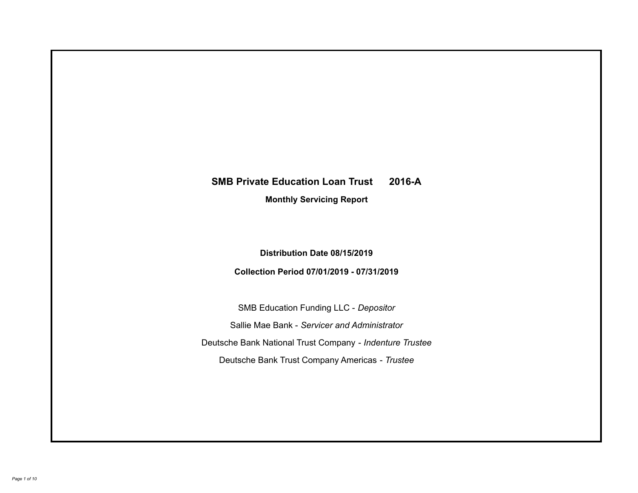# **SMB Private Education Loan Trust 2016-A Monthly Servicing Report**

## **Distribution Date 08/15/2019**

## **Collection Period 07/01/2019 - 07/31/2019**

SMB Education Funding LLC - *Depositor* Sallie Mae Bank - *Servicer and Administrator* Deutsche Bank National Trust Company - *Indenture Trustee* Deutsche Bank Trust Company Americas - *Trustee*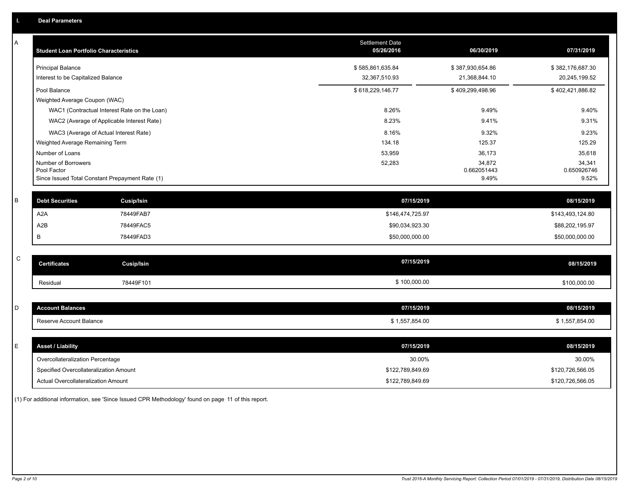| A           | <b>Student Loan Portfolio Characteristics</b>   | <b>Settlement Date</b><br>05/26/2016 | 06/30/2019            | 07/31/2019            |
|-------------|-------------------------------------------------|--------------------------------------|-----------------------|-----------------------|
|             | <b>Principal Balance</b>                        | \$585,861,635.84                     | \$387,930,654.86      | \$382,176,687.30      |
|             | Interest to be Capitalized Balance              | 32,367,510.93                        | 21,368,844.10         | 20,245,199.52         |
|             | Pool Balance                                    | \$618,229,146.77                     | \$409,299,498.96      | \$402,421,886.82      |
|             | Weighted Average Coupon (WAC)                   |                                      |                       |                       |
|             | WAC1 (Contractual Interest Rate on the Loan)    | 8.26%                                | 9.49%                 | 9.40%                 |
|             | WAC2 (Average of Applicable Interest Rate)      | 8.23%                                | 9.41%                 | 9.31%                 |
|             | WAC3 (Average of Actual Interest Rate)          | 8.16%                                | 9.32%                 | 9.23%                 |
|             | Weighted Average Remaining Term                 | 134.18                               | 125.37                | 125.29                |
|             | Number of Loans                                 | 53,959                               | 36,173                | 35,618                |
|             | Number of Borrowers<br>Pool Factor              | 52,283                               | 34,872<br>0.662051443 | 34,341<br>0.650926746 |
|             | Since Issued Total Constant Prepayment Rate (1) |                                      | 9.49%                 | 9.52%                 |
| В           | <b>Debt Securities</b><br><b>Cusip/Isin</b>     | 07/15/2019                           |                       | 08/15/2019            |
|             | A <sub>2</sub> A<br>78449FAB7                   | \$146,474,725.97                     |                       | \$143,493,124.80      |
|             | A <sub>2</sub> B<br>78449FAC5                   | \$90,034,923.30                      |                       | \$88,202,195.97       |
|             | В<br>78449FAD3                                  | \$50,000,000.00                      |                       | \$50,000,000.00       |
|             |                                                 |                                      |                       |                       |
| $\mathsf C$ | <b>Certificates</b><br><b>Cusip/Isin</b>        | 07/15/2019                           |                       | 08/15/2019            |
|             | 78449F101<br>Residual                           | \$100,000.00                         |                       | \$100,000.00          |
|             |                                                 |                                      |                       |                       |
| D           | <b>Account Balances</b>                         | 07/15/2019                           |                       | 08/15/2019            |
|             | Reserve Account Balance                         | \$1,557,854.00                       |                       | \$1,557,854.00        |
|             |                                                 |                                      |                       |                       |
| E           | <b>Asset / Liability</b>                        | 07/15/2019                           |                       | 08/15/2019            |
|             | Overcollateralization Percentage                | 30.00%                               |                       | 30.00%                |
|             | Specified Overcollateralization Amount          | \$122,789,849.69                     |                       | \$120,726,566.05      |
|             | Actual Overcollateralization Amount             | \$122,789,849.69                     |                       | \$120,726,566.05      |

(1) For additional information, see 'Since Issued CPR Methodology' found on page 11 of this report.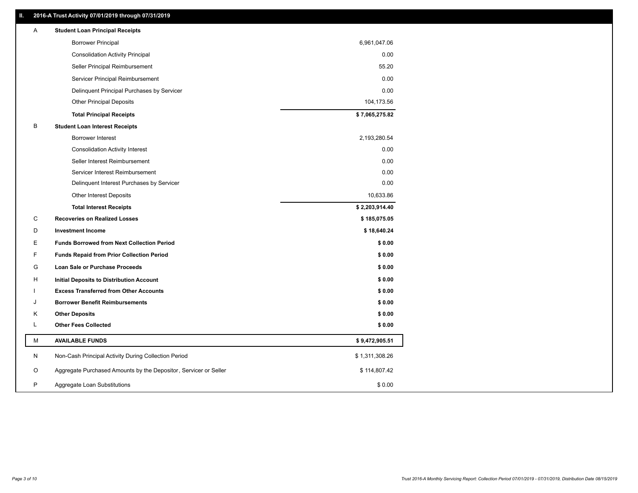## **II. 2016-A Trust Activity 07/01/2019 through 07/31/2019**

| Α | <b>Student Loan Principal Receipts</b>                           |                |  |
|---|------------------------------------------------------------------|----------------|--|
|   | <b>Borrower Principal</b>                                        | 6,961,047.06   |  |
|   | <b>Consolidation Activity Principal</b>                          | 0.00           |  |
|   | Seller Principal Reimbursement                                   | 55.20          |  |
|   | Servicer Principal Reimbursement                                 | 0.00           |  |
|   | Delinquent Principal Purchases by Servicer                       | 0.00           |  |
|   | <b>Other Principal Deposits</b>                                  | 104,173.56     |  |
|   | <b>Total Principal Receipts</b>                                  | \$7,065,275.82 |  |
| B | <b>Student Loan Interest Receipts</b>                            |                |  |
|   | Borrower Interest                                                | 2,193,280.54   |  |
|   | <b>Consolidation Activity Interest</b>                           | 0.00           |  |
|   | Seller Interest Reimbursement                                    | 0.00           |  |
|   | Servicer Interest Reimbursement                                  | 0.00           |  |
|   | Delinquent Interest Purchases by Servicer                        | 0.00           |  |
|   | <b>Other Interest Deposits</b>                                   | 10,633.86      |  |
|   | <b>Total Interest Receipts</b>                                   | \$2,203,914.40 |  |
| C | <b>Recoveries on Realized Losses</b>                             | \$185,075.05   |  |
| D | <b>Investment Income</b>                                         | \$18,640.24    |  |
| Е | <b>Funds Borrowed from Next Collection Period</b>                | \$0.00         |  |
| F | <b>Funds Repaid from Prior Collection Period</b>                 | \$0.00         |  |
| G | Loan Sale or Purchase Proceeds                                   | \$0.00         |  |
| н | Initial Deposits to Distribution Account                         | \$0.00         |  |
|   | <b>Excess Transferred from Other Accounts</b>                    | \$0.00         |  |
| J | <b>Borrower Benefit Reimbursements</b>                           | \$0.00         |  |
| Κ | <b>Other Deposits</b>                                            | \$0.00         |  |
| L | <b>Other Fees Collected</b>                                      | \$0.00         |  |
| М | <b>AVAILABLE FUNDS</b>                                           | \$9,472,905.51 |  |
| N | Non-Cash Principal Activity During Collection Period             | \$1,311,308.26 |  |
| O | Aggregate Purchased Amounts by the Depositor, Servicer or Seller | \$114,807.42   |  |
| P | Aggregate Loan Substitutions                                     | \$0.00         |  |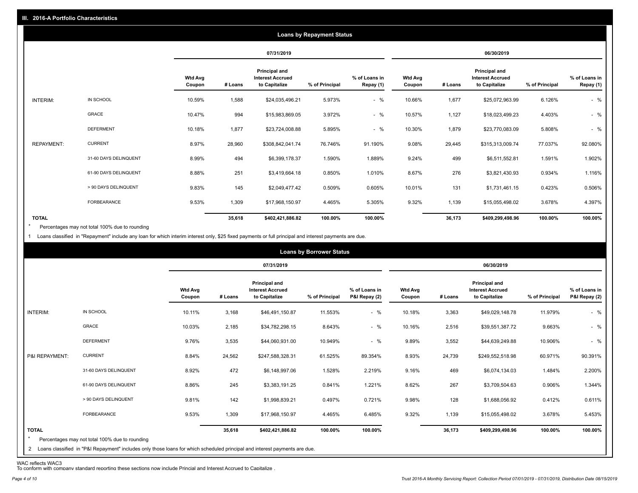|                   |                       |                          |            |                                                           | <b>Loans by Repayment Status</b> |                            |                   |         |                                                           |                |                            |
|-------------------|-----------------------|--------------------------|------------|-----------------------------------------------------------|----------------------------------|----------------------------|-------------------|---------|-----------------------------------------------------------|----------------|----------------------------|
|                   |                       |                          | 07/31/2019 |                                                           |                                  | 06/30/2019                 |                   |         |                                                           |                |                            |
|                   |                       | <b>Wtd Avg</b><br>Coupon | # Loans    | Principal and<br><b>Interest Accrued</b><br>to Capitalize | % of Principal                   | % of Loans in<br>Repay (1) | Wtd Avg<br>Coupon | # Loans | Principal and<br><b>Interest Accrued</b><br>to Capitalize | % of Principal | % of Loans in<br>Repay (1) |
| INTERIM:          | IN SCHOOL             | 10.59%                   | 1,588      | \$24,035,496.21                                           | 5.973%                           | $-$ %                      | 10.66%            | 1,677   | \$25,072,963.99                                           | 6.126%         | $-$ %                      |
|                   | GRACE                 | 10.47%                   | 994        | \$15,983,869.05                                           | 3.972%                           | $-$ %                      | 10.57%            | 1,127   | \$18,023,499.23                                           | 4.403%         | $-$ %                      |
|                   | <b>DEFERMENT</b>      | 10.18%                   | 1,877      | \$23,724,008.88                                           | 5.895%                           | $-$ %                      | 10.30%            | 1,879   | \$23,770,083.09                                           | 5.808%         | $-$ %                      |
| <b>REPAYMENT:</b> | <b>CURRENT</b>        | 8.97%                    | 28,960     | \$308,842,041.74                                          | 76.746%                          | 91.190%                    | 9.08%             | 29,445  | \$315,313,009.74                                          | 77.037%        | 92.080%                    |
|                   | 31-60 DAYS DELINQUENT | 8.99%                    | 494        | \$6,399,178.37                                            | 1.590%                           | 1.889%                     | 9.24%             | 499     | \$6,511,552.81                                            | 1.591%         | 1.902%                     |
|                   | 61-90 DAYS DELINQUENT | 8.88%                    | 251        | \$3,419,664.18                                            | 0.850%                           | 1.010%                     | 8.67%             | 276     | \$3,821,430.93                                            | 0.934%         | 1.116%                     |
|                   | > 90 DAYS DELINQUENT  | 9.83%                    | 145        | \$2,049,477.42                                            | 0.509%                           | 0.605%                     | 10.01%            | 131     | \$1,731,461.15                                            | 0.423%         | 0.506%                     |
|                   | <b>FORBEARANCE</b>    | 9.53%                    | 1,309      | \$17,968,150.97                                           | 4.465%                           | 5.305%                     | 9.32%             | 1,139   | \$15,055,498.02                                           | 3.678%         | 4.397%                     |
| <b>TOTAL</b>      |                       |                          | 35,618     | \$402,421,886.82                                          | 100.00%                          | 100.00%                    |                   | 36,173  | \$409,299,498.96                                          | 100.00%        | 100.00%                    |

Percentages may not total 100% due to rounding \*

1 Loans classified in "Repayment" include any loan for which interim interest only, \$25 fixed payments or full principal and interest payments are due.

|                         |                                                                                                                                                                                |                          | <b>Loans by Borrower Status</b> |                                                           |                |                                |                          |         |                                                                  |                |                                |
|-------------------------|--------------------------------------------------------------------------------------------------------------------------------------------------------------------------------|--------------------------|---------------------------------|-----------------------------------------------------------|----------------|--------------------------------|--------------------------|---------|------------------------------------------------------------------|----------------|--------------------------------|
|                         |                                                                                                                                                                                |                          | 07/31/2019                      |                                                           |                |                                | 06/30/2019               |         |                                                                  |                |                                |
|                         |                                                                                                                                                                                | <b>Wtd Avg</b><br>Coupon | # Loans                         | Principal and<br><b>Interest Accrued</b><br>to Capitalize | % of Principal | % of Loans in<br>P&I Repay (2) | <b>Wtd Avg</b><br>Coupon | # Loans | <b>Principal and</b><br><b>Interest Accrued</b><br>to Capitalize | % of Principal | % of Loans in<br>P&I Repay (2) |
| INTERIM:                | IN SCHOOL                                                                                                                                                                      | 10.11%                   | 3,168                           | \$46,491,150.87                                           | 11.553%        | $-$ %                          | 10.18%                   | 3,363   | \$49,029,148.78                                                  | 11.979%        | $-$ %                          |
|                         | GRACE                                                                                                                                                                          | 10.03%                   | 2,185                           | \$34,782,298.15                                           | 8.643%         | $-$ %                          | 10.16%                   | 2,516   | \$39,551,387.72                                                  | 9.663%         | $-$ %                          |
|                         | <b>DEFERMENT</b>                                                                                                                                                               | 9.76%                    | 3,535                           | \$44,060,931.00                                           | 10.949%        | $-$ %                          | 9.89%                    | 3,552   | \$44,639,249.88                                                  | 10.906%        | $-$ %                          |
| P&I REPAYMENT:          | <b>CURRENT</b>                                                                                                                                                                 | 8.84%                    | 24,562                          | \$247,588,328.31                                          | 61.525%        | 89.354%                        | 8.93%                    | 24,739  | \$249,552,518.98                                                 | 60.971%        | 90.391%                        |
|                         | 31-60 DAYS DELINQUENT                                                                                                                                                          | 8.92%                    | 472                             | \$6,148,997.06                                            | 1.528%         | 2.219%                         | 9.16%                    | 469     | \$6,074,134.03                                                   | 1.484%         | 2.200%                         |
|                         | 61-90 DAYS DELINQUENT                                                                                                                                                          | 8.86%                    | 245                             | \$3,383,191.25                                            | 0.841%         | 1.221%                         | 8.62%                    | 267     | \$3,709,504.63                                                   | 0.906%         | 1.344%                         |
|                         | > 90 DAYS DELINQUENT                                                                                                                                                           | 9.81%                    | 142                             | \$1,998,839.21                                            | 0.497%         | 0.721%                         | 9.98%                    | 128     | \$1,688,056.92                                                   | 0.412%         | 0.611%                         |
|                         | FORBEARANCE                                                                                                                                                                    | 9.53%                    | 1,309                           | \$17,968,150.97                                           | 4.465%         | 6.485%                         | 9.32%                    | 1,139   | \$15,055,498.02                                                  | 3.678%         | 5.453%                         |
| <b>TOTAL</b><br>$\star$ | Percentages may not total 100% due to rounding<br>2 Loans classified in "P&I Repayment" includes only those loans for which scheduled principal and interest payments are due. |                          | 35,618                          | \$402,421,886.82                                          | 100.00%        | 100.00%                        |                          | 36,173  | \$409,299,498.96                                                 | 100.00%        | 100.00%                        |

WAC reflects WAC3 To conform with company standard reporting these sections now include Princial and Interest Accrued to Capitalize .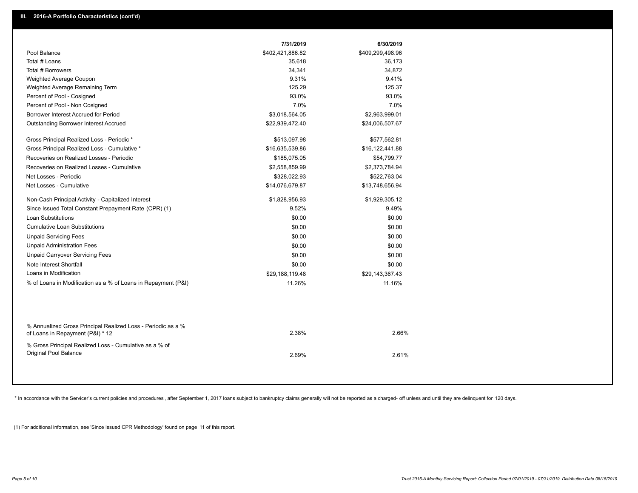|                                                               | 7/31/2019        | 6/30/2019        |
|---------------------------------------------------------------|------------------|------------------|
| Pool Balance                                                  | \$402,421,886.82 | \$409,299,498.96 |
| Total # Loans                                                 | 35,618           | 36,173           |
| Total # Borrowers                                             | 34,341           | 34,872           |
| Weighted Average Coupon                                       | 9.31%            | 9.41%            |
| Weighted Average Remaining Term                               | 125.29           | 125.37           |
| Percent of Pool - Cosigned                                    | 93.0%            | 93.0%            |
| Percent of Pool - Non Cosigned                                | 7.0%             | 7.0%             |
| Borrower Interest Accrued for Period                          | \$3,018,564.05   | \$2,963,999.01   |
| Outstanding Borrower Interest Accrued                         | \$22,939,472.40  | \$24,006,507.67  |
|                                                               |                  |                  |
| Gross Principal Realized Loss - Periodic *                    | \$513,097.98     | \$577,562.81     |
| Gross Principal Realized Loss - Cumulative *                  | \$16,635,539.86  | \$16,122,441.88  |
| Recoveries on Realized Losses - Periodic                      | \$185,075.05     | \$54,799.77      |
| Recoveries on Realized Losses - Cumulative                    | \$2,558,859.99   | \$2,373,784.94   |
| Net Losses - Periodic                                         | \$328,022.93     | \$522,763.04     |
| Net Losses - Cumulative                                       | \$14,076,679.87  | \$13,748,656.94  |
| Non-Cash Principal Activity - Capitalized Interest            | \$1,828,956.93   | \$1,929,305.12   |
| Since Issued Total Constant Prepayment Rate (CPR) (1)         | 9.52%            | 9.49%            |
| <b>Loan Substitutions</b>                                     | \$0.00           | \$0.00           |
| <b>Cumulative Loan Substitutions</b>                          | \$0.00           | \$0.00           |
| <b>Unpaid Servicing Fees</b>                                  | \$0.00           | \$0.00           |
| <b>Unpaid Administration Fees</b>                             | \$0.00           | \$0.00           |
| <b>Unpaid Carryover Servicing Fees</b>                        | \$0.00           | \$0.00           |
| Note Interest Shortfall                                       | \$0.00           | \$0.00           |
| Loans in Modification                                         | \$29,188,119.48  | \$29,143,367.43  |
| % of Loans in Modification as a % of Loans in Repayment (P&I) | 11.26%           | 11.16%           |
|                                                               |                  |                  |
|                                                               |                  |                  |
|                                                               |                  |                  |
| % Annualized Gross Principal Realized Loss - Periodic as a %  |                  |                  |
| of Loans in Repayment (P&I) * 12                              | 2.38%            | 2.66%            |
| % Gross Principal Realized Loss - Cumulative as a % of        |                  |                  |
| Original Pool Balance                                         | 2.69%            | 2.61%            |
|                                                               |                  |                  |
|                                                               |                  |                  |

\* In accordance with the Servicer's current policies and procedures, after September 1, 2017 loans subject to bankruptcy claims generally will not be reported as a charged- off unless and until they are delinquent for 120

(1) For additional information, see 'Since Issued CPR Methodology' found on page 11 of this report.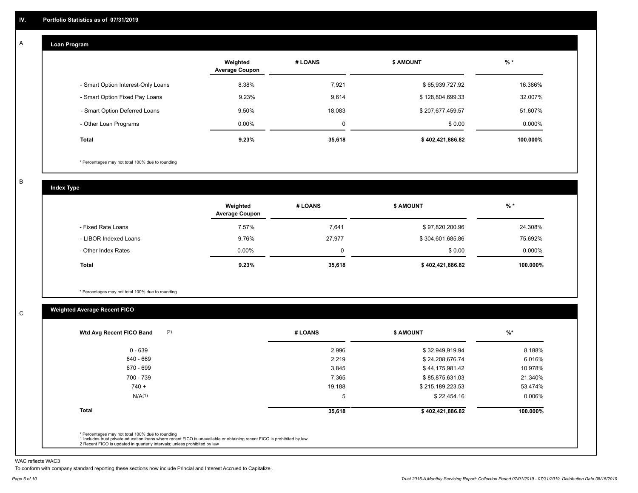#### **Loan Program**  A

|                                    | Weighted<br><b>Average Coupon</b> | # LOANS | <b>\$ AMOUNT</b> | $%$ *     |
|------------------------------------|-----------------------------------|---------|------------------|-----------|
| - Smart Option Interest-Only Loans | 8.38%                             | 7.921   | \$65,939,727.92  | 16.386%   |
| - Smart Option Fixed Pay Loans     | 9.23%                             | 9,614   | \$128,804,699.33 | 32.007%   |
| - Smart Option Deferred Loans      | 9.50%                             | 18,083  | \$207,677,459.57 | 51.607%   |
| - Other Loan Programs              | $0.00\%$                          | 0       | \$0.00           | $0.000\%$ |
| <b>Total</b>                       | 9.23%                             | 35,618  | \$402,421,886.82 | 100.000%  |

\* Percentages may not total 100% due to rounding

B

C

**Index Type**

|                       | Weighted<br><b>Average Coupon</b> | # LOANS | <b>S AMOUNT</b>  | $%$ *     |
|-----------------------|-----------------------------------|---------|------------------|-----------|
| - Fixed Rate Loans    | 7.57%                             | 7,641   | \$97,820,200.96  | 24.308%   |
| - LIBOR Indexed Loans | 9.76%                             | 27.977  | \$304,601,685.86 | 75.692%   |
| - Other Index Rates   | $0.00\%$                          | 0       | \$0.00           | $0.000\%$ |
| Total                 | 9.23%                             | 35,618  | \$402,421,886.82 | 100.000%  |

\* Percentages may not total 100% due to rounding

## **Weighted Average Recent FICO**

| $0 - 639$          | 2,996  | \$32,949,919.94  | 8.188%   |
|--------------------|--------|------------------|----------|
|                    |        |                  |          |
| 640 - 669          | 2,219  | \$24,208,676.74  | 6.016%   |
| 670 - 699          | 3,845  | \$44,175,981.42  | 10.978%  |
| 700 - 739          | 7,365  | \$85,875,631.03  | 21.340%  |
| $740 +$            | 19,188 | \$215,189,223.53 | 53.474%  |
| N/A <sup>(1)</sup> | 5      | \$22,454.16      | 0.006%   |
| <b>Total</b>       | 35,618 | \$402,421,886.82 | 100.000% |

WAC reflects WAC3

To conform with company standard reporting these sections now include Princial and Interest Accrued to Capitalize .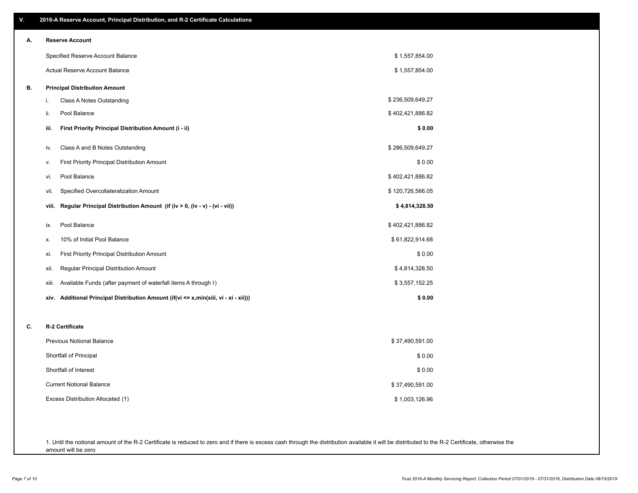| V. | 2016-A Reserve Account, Principal Distribution, and R-2 Certificate Calculations     |                  |  |
|----|--------------------------------------------------------------------------------------|------------------|--|
| А. | <b>Reserve Account</b>                                                               |                  |  |
|    | Specified Reserve Account Balance                                                    | \$1,557,854.00   |  |
|    | Actual Reserve Account Balance                                                       | \$1,557,854.00   |  |
| В. | <b>Principal Distribution Amount</b>                                                 |                  |  |
|    | Class A Notes Outstanding<br>i.                                                      | \$236,509,649.27 |  |
|    | Pool Balance<br>ii.                                                                  | \$402,421,886.82 |  |
|    | First Priority Principal Distribution Amount (i - ii)<br>iii.                        | \$0.00           |  |
|    | Class A and B Notes Outstanding<br>iv.                                               | \$286,509,649.27 |  |
|    | First Priority Principal Distribution Amount<br>v.                                   | \$0.00           |  |
|    | Pool Balance<br>vi.                                                                  | \$402,421,886.82 |  |
|    | Specified Overcollateralization Amount<br>vii.                                       | \$120,726,566.05 |  |
|    | Regular Principal Distribution Amount (if (iv > 0, (iv - v) - (vi - vii))<br>viii.   | \$4,814,328.50   |  |
|    | Pool Balance<br>ix.                                                                  | \$402,421,886.82 |  |
|    | 10% of Initial Pool Balance<br>Х.                                                    | \$61,822,914.68  |  |
|    | First Priority Principal Distribution Amount<br>xi.                                  | \$0.00           |  |
|    | Regular Principal Distribution Amount<br>xii.                                        | \$4,814,328.50   |  |
|    | Available Funds (after payment of waterfall items A through I)<br>xiii.              | \$3,557,152.25   |  |
|    | xiv. Additional Principal Distribution Amount (if(vi <= x,min(xiii, vi - xi - xii))) | \$0.00           |  |
| C. | R-2 Certificate                                                                      |                  |  |
|    | <b>Previous Notional Balance</b>                                                     | \$37,490,591.00  |  |
|    | Shortfall of Principal                                                               | \$0.00           |  |
|    | Shortfall of Interest                                                                | \$0.00           |  |
|    | <b>Current Notional Balance</b>                                                      | \$37,490,591.00  |  |
|    | Excess Distribution Allocated (1)                                                    | \$1,003,126.96   |  |
|    |                                                                                      |                  |  |
|    |                                                                                      |                  |  |

1. Until the notional amount of the R-2 Certificate is reduced to zero and if there is excess cash through the distribution available it will be distributed to the R-2 Certificate, otherwise the amount will be zero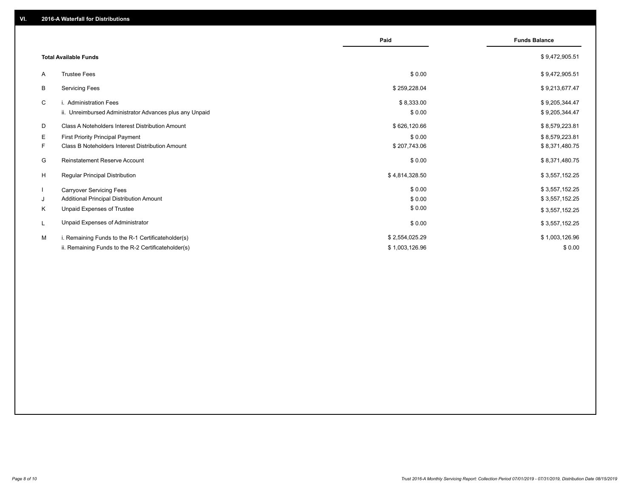|                                                               | Paid           | <b>Funds Balance</b> |
|---------------------------------------------------------------|----------------|----------------------|
| <b>Total Available Funds</b>                                  |                | \$9,472,905.51       |
| <b>Trustee Fees</b><br>A                                      | \$0.00         | \$9,472,905.51       |
| B<br><b>Servicing Fees</b>                                    | \$259,228.04   | \$9,213,677.47       |
| C<br>i. Administration Fees                                   | \$8,333.00     | \$9,205,344.47       |
| ii. Unreimbursed Administrator Advances plus any Unpaid       | \$0.00         | \$9,205,344.47       |
| D<br>Class A Noteholders Interest Distribution Amount         | \$626,120.66   | \$8,579,223.81       |
| E.<br><b>First Priority Principal Payment</b>                 | \$0.00         | \$8,579,223.81       |
| F.<br><b>Class B Noteholders Interest Distribution Amount</b> | \$207,743.06   | \$8,371,480.75       |
| G<br><b>Reinstatement Reserve Account</b>                     | \$0.00         | \$8,371,480.75       |
| H<br><b>Regular Principal Distribution</b>                    | \$4,814,328.50 | \$3,557,152.25       |
| $\mathbf{I}$<br><b>Carryover Servicing Fees</b>               | \$0.00         | \$3,557,152.25       |
| Additional Principal Distribution Amount<br>J                 | \$0.00         | \$3,557,152.25       |
| Κ<br>Unpaid Expenses of Trustee                               | \$0.00         | \$3,557,152.25       |
| Unpaid Expenses of Administrator<br>L                         | \$0.00         | \$3,557,152.25       |
| М<br>i. Remaining Funds to the R-1 Certificateholder(s)       | \$2,554,025.29 | \$1,003,126.96       |
| ii. Remaining Funds to the R-2 Certificateholder(s)           | \$1,003,126.96 | \$0.00               |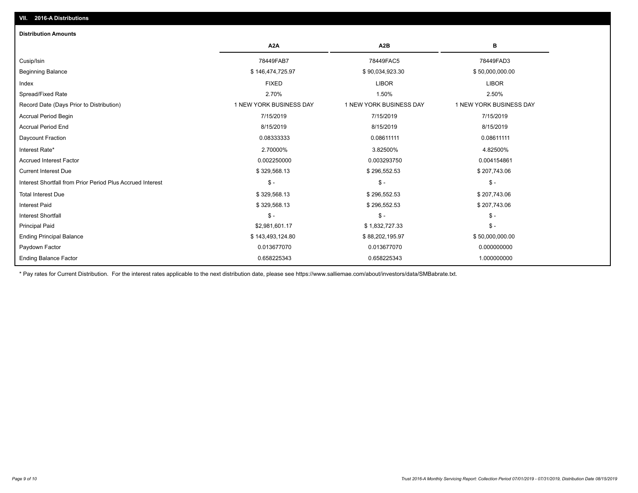## Paydown Factor 0.013677070 0.013677070 0.000000000 Ending Principal Balance \$ 143,493,124.80 \$ \$8,202,195.97 \$ \$8,202,195.97 \$50,000,000.00 Principal Paid \$2,981,601.17 \$ 1,832,727.33 \$ - Interest Shortfall \$ - \$ - \$ - Interest Paid \$ 329,568.13 \$ 296,552.53 \$ 207,743.06 Total Interest Due \$ 329,568.13 \$ 296,552.53 \$ 207,743.06 Interest Shortfall from Prior Period Plus Accrued Interest \$ - \$ - \$ - Current Interest Due \$ 329,568.13 \$ 296,552.53 \$ 207,743.06 Accrued Interest Factor 0.002250000 0.003293750 0.004154861 Interest Rate\* 2.70000% 3.82500% 4.82500% Daycount Fraction 0.08333333 0.08611111 0.08611111 Accrual Period End 8/15/2019 8/15/2019 8/15/2019 Accrual Period Begin 7/15/2019 7/15/2019 7/15/2019 Record Date (Days Prior to Distribution) 1 1 NEW YORK BUSINESS DAY 1 NEW YORK BUSINESS DAY 1 NEW YORK BUSINESS DAY Spread/Fixed Rate 2.70% 1.50% 2.50% Index FIXED LIBOR LIBOR Beginning Balance \$ 146,474,725.97 \$ 90,034,923.30 \$ 50,000,000.00 Cusip/Isin 78449FAB7 78449FAC5 78449FAD3 **A2A A2B B Distribution Amounts VII. 2016-A Distributions**

0.658225343 0.658225343 1.000000000

\* Pay rates for Current Distribution. For the interest rates applicable to the next distribution date, please see https://www.salliemae.com/about/investors/data/SMBabrate.txt.

Ending Balance Factor